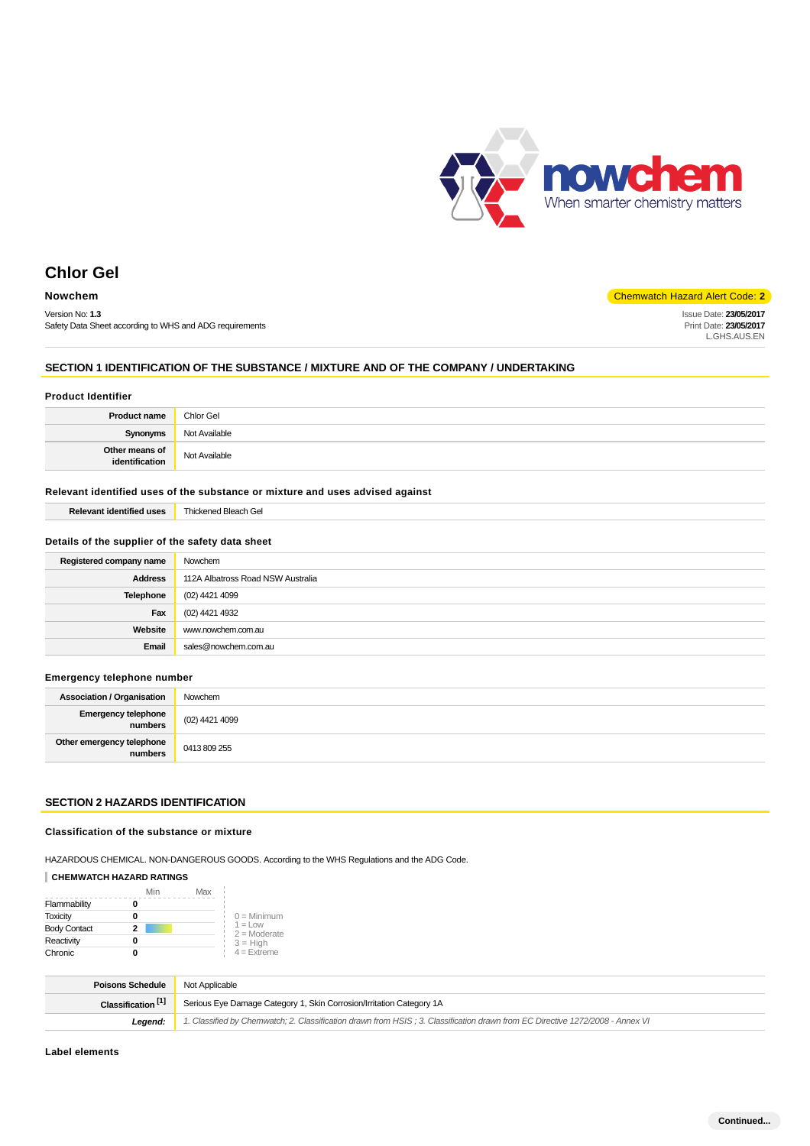

Issue Date: **23/05/2017** Print Date: **23/05/2017** L.GHS.AUS.EN

# **Chlor Gel**

# **Nowchem** Chemwatch Hazard Alert Code: 2

Version No: **1.3** Safety Data Sheet according to WHS and ADG requirements

#### **SECTION 1 IDENTIFICATION OF THE SUBSTANCE / MIXTURE AND OF THE COMPANY / UNDERTAKING**

#### **Product Identifier**

| <b>Product name</b>              | Chlor Gel     |
|----------------------------------|---------------|
| <b>Synonyms</b>                  | Not Available |
| Other means of<br>identification | Not Available |

#### **Relevant identified uses of the substance or mixture and uses advised against**

| <b>Relevant identified uses</b> | Thickened Bleach Gel |
|---------------------------------|----------------------|
|---------------------------------|----------------------|

#### **Details of the supplier of the safety data sheet**

| Registered company name | Nowchem                           |
|-------------------------|-----------------------------------|
| <b>Address</b>          | 112A Albatross Road NSW Australia |
| Telephone               | (02) 4421 4099                    |
| Fax                     | (02) 4421 4932                    |
| Website                 | www.nowchem.com.au                |
| Email                   | sales@nowchem.com.au              |

## **Emergency telephone number**

| <b>Association / Organisation</b>    | Nowchem        |
|--------------------------------------|----------------|
| Emergency telephone<br>numbers       | (02) 4421 4099 |
| Other emergency telephone<br>numbers | 0413809255     |

#### **SECTION 2 HAZARDS IDENTIFICATION**

## **Classification of the substance or mixture**

HAZARDOUS CHEMICAL. NON-DANGEROUS GOODS. According to the WHS Regulations and the ADG Code.

## **CHEMWATCH HAZARD RATINGS**

|                     | Min | Max |                              |
|---------------------|-----|-----|------------------------------|
| Flammability        |     |     |                              |
| <b>Toxicity</b>     | o   |     | $0 =$ Minimum                |
| <b>Body Contact</b> | 2   |     | $1 = 1$ OW<br>$2 =$ Moderate |
| Reactivity          | 0   |     | $3 = High$                   |
| Chronic             |     |     | $4 =$ Extreme                |

| <b>Poisons Schedule</b>       | Not Applicable                                                                                                                |
|-------------------------------|-------------------------------------------------------------------------------------------------------------------------------|
| Classification <sup>[1]</sup> | Serious Eye Damage Category 1, Skin Corrosion/Irritation Category 1A                                                          |
| Leaend:                       | 1. Classified by Chemwatch; 2. Classification drawn from HSIS; 3. Classification drawn from EC Directive 1272/2008 - Annex VI |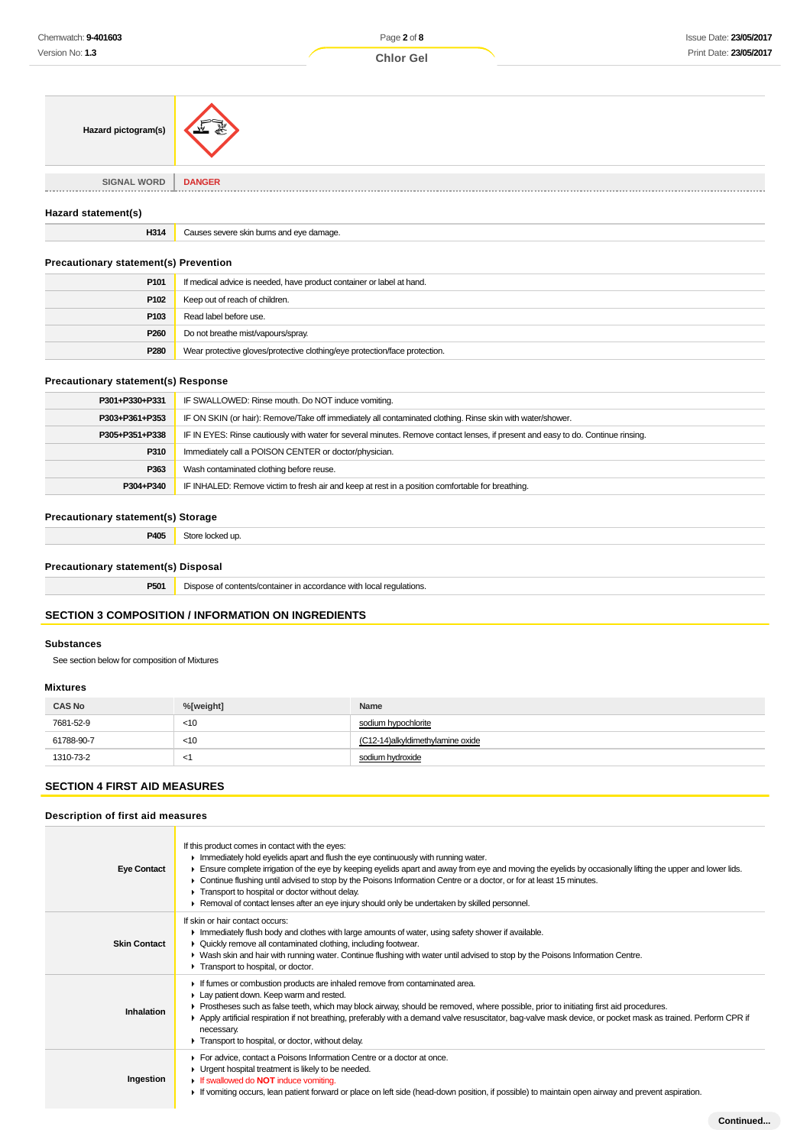| Chemwatch: 9-401603                           |                                                                                                                                  | Page 2 of 8         | <b>Issue Date: 23/05/2017</b> |
|-----------------------------------------------|----------------------------------------------------------------------------------------------------------------------------------|---------------------|-------------------------------|
| Version No: 1.3                               |                                                                                                                                  | <b>Chlor Gel</b>    | Print Date: 23/05/2017        |
|                                               |                                                                                                                                  |                     |                               |
| Hazard pictogram(s)                           |                                                                                                                                  |                     |                               |
| <b>SIGNAL WORD</b>                            | <b>DANGER</b>                                                                                                                    |                     |                               |
| Hazard statement(s)                           |                                                                                                                                  |                     |                               |
| H314                                          | Causes severe skin burns and eye damage.                                                                                         |                     |                               |
| <b>Precautionary statement(s) Prevention</b>  |                                                                                                                                  |                     |                               |
| P <sub>101</sub>                              | If medical advice is needed, have product container or label at hand.                                                            |                     |                               |
| P102                                          | Keep out of reach of children.                                                                                                   |                     |                               |
| P103                                          | Read label before use.                                                                                                           |                     |                               |
| P <sub>260</sub>                              | Do not breathe mist/vapours/spray.                                                                                               |                     |                               |
| P280                                          | Wear protective gloves/protective clothing/eye protection/face protection.                                                       |                     |                               |
| <b>Precautionary statement(s) Response</b>    |                                                                                                                                  |                     |                               |
| P301+P330+P331                                | IF SWALLOWED: Rinse mouth. Do NOT induce vomiting.                                                                               |                     |                               |
| P303+P361+P353                                | IF ON SKIN (or hair): Remove/Take off immediately all contaminated clothing. Rinse skin with water/shower.                       |                     |                               |
| P305+P351+P338                                | IF IN EYES: Rinse cautiously with water for several minutes. Remove contact lenses, if present and easy to do. Continue rinsing. |                     |                               |
| P310                                          | Immediately call a POISON CENTER or doctor/physician.                                                                            |                     |                               |
| P363                                          | Wash contaminated clothing before reuse.                                                                                         |                     |                               |
| P304+P340                                     | IF INHALED: Remove victim to fresh air and keep at rest in a position comfortable for breathing.                                 |                     |                               |
| <b>Precautionary statement(s) Storage</b>     |                                                                                                                                  |                     |                               |
| P405                                          | Store locked up.                                                                                                                 |                     |                               |
| <b>Precautionary statement(s) Disposal</b>    |                                                                                                                                  |                     |                               |
| P501                                          | Dispose of contents/container in accordance with local regulations.                                                              |                     |                               |
|                                               | <b>SECTION 3 COMPOSITION / INFORMATION ON INGREDIENTS</b>                                                                        |                     |                               |
|                                               |                                                                                                                                  |                     |                               |
| <b>Substances</b>                             |                                                                                                                                  |                     |                               |
| See section below for composition of Mixtures |                                                                                                                                  |                     |                               |
| <b>Mixtures</b>                               |                                                                                                                                  |                     |                               |
| <b>CAS No</b>                                 | %[weight]                                                                                                                        | Name                |                               |
| 7681-52-9                                     | $<$ 10                                                                                                                           | sodium hypochlorite |                               |

# **SECTION 4 FIRST AID MEASURES**

# **Description of first aid measures**

61788-90-7 <10 1310-73-2 <1

| <b>Eye Contact</b>  | If this product comes in contact with the eyes:<br>$\blacktriangleright$ Immediately hold eyelids apart and flush the eye continuously with running water.<br>Ensure complete irrigation of the eye by keeping eyelids apart and away from eye and moving the eyelids by occasionally lifting the upper and lower lids.<br>► Continue flushing until advised to stop by the Poisons Information Centre or a doctor, or for at least 15 minutes.<br>Transport to hospital or doctor without delay.<br>► Removal of contact lenses after an eye injury should only be undertaken by skilled personnel. |
|---------------------|------------------------------------------------------------------------------------------------------------------------------------------------------------------------------------------------------------------------------------------------------------------------------------------------------------------------------------------------------------------------------------------------------------------------------------------------------------------------------------------------------------------------------------------------------------------------------------------------------|
| <b>Skin Contact</b> | If skin or hair contact occurs:<br>In mediately flush body and clothes with large amounts of water, using safety shower if available.<br>• Quickly remove all contaminated clothing, including footwear.<br>► Wash skin and hair with running water. Continue flushing with water until advised to stop by the Poisons Information Centre.<br>Transport to hospital, or doctor.                                                                                                                                                                                                                      |
| Inhalation          | If fumes or combustion products are inhaled remove from contaminated area.<br>Lay patient down. Keep warm and rested.<br>▶ Prostheses such as false teeth, which may block airway, should be removed, where possible, prior to initiating first aid procedures.<br>▶ Apply artificial respiration if not breathing, preferably with a demand valve resuscitator, bag-valve mask device, or pocket mask as trained. Perform CPR if<br>necessary.<br>Transport to hospital, or doctor, without delay.                                                                                                  |
| Ingestion           | For advice, contact a Poisons Information Centre or a doctor at once.<br>• Urgent hospital treatment is likely to be needed.<br>If swallowed do NOT induce vomiting.<br>► If vomiting occurs, lean patient forward or place on left side (head-down position, if possible) to maintain open airway and prevent aspiration.                                                                                                                                                                                                                                                                           |

(C12-14)alkyldimethylamine oxide

sodium hydroxide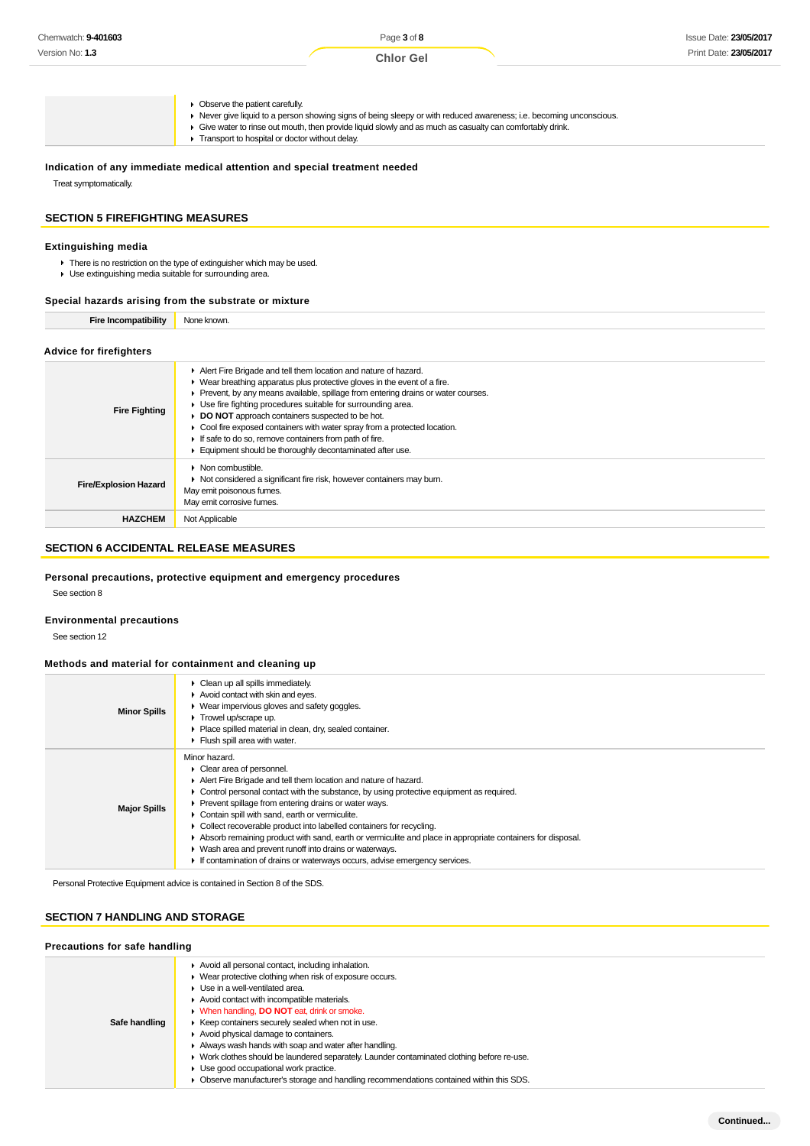| Chemwatch: 9-401603 | Page 3 of 8      | Issue Date: 23/05/2017 |
|---------------------|------------------|------------------------|
| Version No: 1.3     | <b>Chlor Gel</b> | Print Date: 23/05/2017 |
|                     |                  |                        |

 $\blacktriangleright$  Observe the patient carefully.

- Never give liquid to a person showing signs of being sleepy or with reduced awareness; i.e. becoming unconscious.
- Give water to rinse out mouth, then provide liquid slowly and as much as casualty can comfortably drink. **F** Transport to hospital or doctor without delay.

#### **Indication of any immediate medical attention and special treatment needed**

Treat symptomatically.

#### **SECTION 5 FIREFIGHTING MEASURES**

#### **Extinguishing media**

There is no restriction on the type of extinguisher which may be used.

Use extinguishing media suitable for surrounding area.

#### **Special hazards arising from the substrate or mixture**

## **Advice for firefighters**

| <b>Fire Fighting</b>         | Alert Fire Brigade and tell them location and nature of hazard.<br>$\blacktriangleright$ Wear breathing apparatus plus protective gloves in the event of a fire.<br>Prevent, by any means available, spillage from entering drains or water courses.<br>• Use fire fighting procedures suitable for surrounding area.<br>DO NOT approach containers suspected to be hot.<br>• Cool fire exposed containers with water spray from a protected location. |
|------------------------------|--------------------------------------------------------------------------------------------------------------------------------------------------------------------------------------------------------------------------------------------------------------------------------------------------------------------------------------------------------------------------------------------------------------------------------------------------------|
|                              | If safe to do so, remove containers from path of fire.<br>Equipment should be thoroughly decontaminated after use.                                                                                                                                                                                                                                                                                                                                     |
| <b>Fire/Explosion Hazard</b> | $\triangleright$ Non combustible.<br>▶ Not considered a significant fire risk, however containers may burn.<br>May emit poisonous fumes.<br>May emit corrosive fumes.                                                                                                                                                                                                                                                                                  |
| <b>HAZCHEM</b>               | Not Applicable                                                                                                                                                                                                                                                                                                                                                                                                                                         |

# **SECTION 6 ACCIDENTAL RELEASE MEASURES**

#### **Personal precautions, protective equipment and emergency procedures**

See section 8

#### **Environmental precautions**

See section 12

#### **Methods and material for containment and cleaning up**

| <b>Minor Spills</b> | • Clean up all spills immediately.<br>Avoid contact with skin and eyes.<br>• Wear impervious gloves and safety goggles.<br>$\blacktriangleright$ Trowel up/scrape up.<br>• Place spilled material in clean, dry, sealed container.<br>$\blacktriangleright$ Flush spill area with water.                                                                                                                                                                                                                                                                                                                                                                                  |
|---------------------|---------------------------------------------------------------------------------------------------------------------------------------------------------------------------------------------------------------------------------------------------------------------------------------------------------------------------------------------------------------------------------------------------------------------------------------------------------------------------------------------------------------------------------------------------------------------------------------------------------------------------------------------------------------------------|
| <b>Major Spills</b> | Minor hazard.<br>• Clear area of personnel.<br>Alert Fire Brigade and tell them location and nature of hazard.<br>$\triangleright$ Control personal contact with the substance, by using protective equipment as required.<br>▶ Prevent spillage from entering drains or water ways.<br>• Contain spill with sand, earth or vermiculite.<br>• Collect recoverable product into labelled containers for recycling.<br>Absorb remaining product with sand, earth or vermiculite and place in appropriate containers for disposal.<br>• Wash area and prevent runoff into drains or waterways.<br>If contamination of drains or waterways occurs, advise emergency services. |

Personal Protective Equipment advice is contained in Section 8 of the SDS.

# **SECTION 7 HANDLING AND STORAGE**

#### **Precautions for safe handling**

| Safe handling |
|---------------|
|               |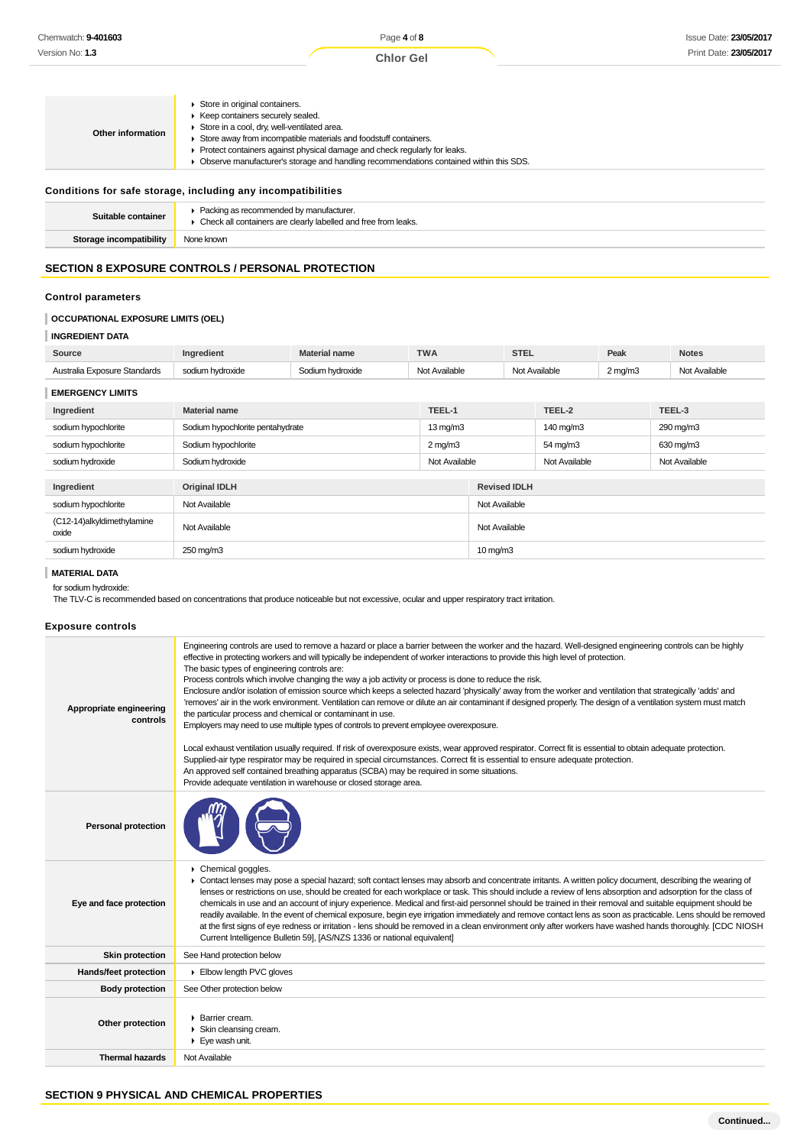| Other information | Store in original containers.<br>Keep containers securely sealed.<br>Store in a cool, dry, well-ventilated area.<br>Store away from incompatible materials and foodstuff containers.<br>▶ Protect containers against physical damage and check regularly for leaks.<br>Observe manufacturer's storage and handling recommendations contained within this SDS. |
|-------------------|---------------------------------------------------------------------------------------------------------------------------------------------------------------------------------------------------------------------------------------------------------------------------------------------------------------------------------------------------------------|
|-------------------|---------------------------------------------------------------------------------------------------------------------------------------------------------------------------------------------------------------------------------------------------------------------------------------------------------------------------------------------------------------|

#### **Conditions for safe storage, including any incompatibilities**

| Suitable container      | Packing as recommended by manufacturer.<br>Check all containers are clearly labelled and free from leaks. |
|-------------------------|-----------------------------------------------------------------------------------------------------------|
| Storage incompatibility | None known                                                                                                |

# **SECTION 8 EXPOSURE CONTROLS / PERSONAL PROTECTION**

#### **Control parameters**

# **OCCUPATIONAL EXPOSURE LIMITS (OEL)**

#### **INGREDIENT DATA**

| Source                       | Ingredient       | <b>Material name</b> | <b>TWA</b>    | <b>STEL</b>   | Peak             | <b>Notes</b>  |
|------------------------------|------------------|----------------------|---------------|---------------|------------------|---------------|
| Australia Exposure Standards | sodium hvdroxide | Sodium hydroxide     | Not Available | Not Available | $2 \text{ mg/m}$ | Not Available |
| <b>EMERGENCY LIMITS</b>      |                  |                      |               |               |                  |               |
| Ingradiant                   | Material name    |                      | TEEL-1        | TEEL-2        |                  | TFFL-3        |

| Sodium hypochlorite pentahydrate<br>290 mg/m3<br>$13 \text{ mg/m}$<br>140 mg/m3<br>sodium hypochlorite<br>Sodium hypochlorite<br>sodium hypochlorite<br>$2 \text{ mg/m}$<br>54 mg/m3<br>630 mg/m3<br>Sodium hydroxide<br>sodium hydroxide<br>Not Available<br>Not Available<br>Not Available<br>Ingredient<br><b>Original IDLH</b><br><b>Revised IDLH</b><br>sodium hypochlorite<br>Not Available<br>Not Available<br>(C12-14)alkyldimethylamine<br>Not Available<br>Not Available<br>oxide<br>$10 \,\mathrm{mq/m}$<br>250 mg/m3<br>sodium hydroxide | Ingredient | <b>Material name</b> | TEEL-1 | TEEL-2 | TEEL-3 |
|------------------------------------------------------------------------------------------------------------------------------------------------------------------------------------------------------------------------------------------------------------------------------------------------------------------------------------------------------------------------------------------------------------------------------------------------------------------------------------------------------------------------------------------------------|------------|----------------------|--------|--------|--------|
|                                                                                                                                                                                                                                                                                                                                                                                                                                                                                                                                                      |            |                      |        |        |        |
|                                                                                                                                                                                                                                                                                                                                                                                                                                                                                                                                                      |            |                      |        |        |        |
|                                                                                                                                                                                                                                                                                                                                                                                                                                                                                                                                                      |            |                      |        |        |        |
|                                                                                                                                                                                                                                                                                                                                                                                                                                                                                                                                                      |            |                      |        |        |        |
|                                                                                                                                                                                                                                                                                                                                                                                                                                                                                                                                                      |            |                      |        |        |        |
|                                                                                                                                                                                                                                                                                                                                                                                                                                                                                                                                                      |            |                      |        |        |        |
|                                                                                                                                                                                                                                                                                                                                                                                                                                                                                                                                                      |            |                      |        |        |        |
|                                                                                                                                                                                                                                                                                                                                                                                                                                                                                                                                                      |            |                      |        |        |        |

# **MATERIAL DATA**

#### for sodium hydroxide:

The TLV-C is recommended based on concentrations that produce noticeable but not excessive, ocular and upper respiratory tract irritation.

#### **Exposure controls**

| Appropriate engineering<br>controls | Engineering controls are used to remove a hazard or place a barrier between the worker and the hazard. Well-designed engineering controls can be highly<br>effective in protecting workers and will typically be independent of worker interactions to provide this high level of protection.<br>The basic types of engineering controls are:<br>Process controls which involve changing the way a job activity or process is done to reduce the risk.<br>Enclosure and/or isolation of emission source which keeps a selected hazard 'physically' away from the worker and ventilation that strategically 'adds' and<br>'removes' air in the work environment. Ventilation can remove or dilute an air contaminant if designed properly. The design of a ventilation system must match<br>the particular process and chemical or contaminant in use.<br>Employers may need to use multiple types of controls to prevent employee overexposure.<br>Local exhaust ventilation usually required. If risk of overexposure exists, wear approved respirator. Correct fit is essential to obtain adequate protection.<br>Supplied-air type respirator may be required in special circumstances. Correct fit is essential to ensure adequate protection.<br>An approved self contained breathing apparatus (SCBA) may be required in some situations.<br>Provide adequate ventilation in warehouse or closed storage area. |
|-------------------------------------|----------------------------------------------------------------------------------------------------------------------------------------------------------------------------------------------------------------------------------------------------------------------------------------------------------------------------------------------------------------------------------------------------------------------------------------------------------------------------------------------------------------------------------------------------------------------------------------------------------------------------------------------------------------------------------------------------------------------------------------------------------------------------------------------------------------------------------------------------------------------------------------------------------------------------------------------------------------------------------------------------------------------------------------------------------------------------------------------------------------------------------------------------------------------------------------------------------------------------------------------------------------------------------------------------------------------------------------------------------------------------------------------------------------------|
| <b>Personal protection</b>          |                                                                                                                                                                                                                                                                                                                                                                                                                                                                                                                                                                                                                                                                                                                                                                                                                                                                                                                                                                                                                                                                                                                                                                                                                                                                                                                                                                                                                      |
| Eye and face protection             | Chemical goggles.<br>• Contact lenses may pose a special hazard; soft contact lenses may absorb and concentrate irritants. A written policy document, describing the wearing of<br>lenses or restrictions on use, should be created for each workplace or task. This should include a review of lens absorption and adsorption for the class of<br>chemicals in use and an account of injury experience. Medical and first-aid personnel should be trained in their removal and suitable equipment should be<br>readily available. In the event of chemical exposure, begin eye irrigation immediately and remove contact lens as soon as practicable. Lens should be removed<br>at the first signs of eye redness or irritation - lens should be removed in a clean environment only after workers have washed hands thoroughly. [CDC NIOSH<br>Current Intelligence Bulletin 59], [AS/NZS 1336 or national equivalent]                                                                                                                                                                                                                                                                                                                                                                                                                                                                                              |
| <b>Skin protection</b>              | See Hand protection below                                                                                                                                                                                                                                                                                                                                                                                                                                                                                                                                                                                                                                                                                                                                                                                                                                                                                                                                                                                                                                                                                                                                                                                                                                                                                                                                                                                            |
| Hands/feet protection               | Elbow length PVC gloves                                                                                                                                                                                                                                                                                                                                                                                                                                                                                                                                                                                                                                                                                                                                                                                                                                                                                                                                                                                                                                                                                                                                                                                                                                                                                                                                                                                              |
| <b>Body protection</b>              | See Other protection below                                                                                                                                                                                                                                                                                                                                                                                                                                                                                                                                                                                                                                                                                                                                                                                                                                                                                                                                                                                                                                                                                                                                                                                                                                                                                                                                                                                           |
| Other protection                    | ▶ Barrier cream.<br>Skin cleansing cream.<br>$\blacktriangleright$ Eye wash unit.                                                                                                                                                                                                                                                                                                                                                                                                                                                                                                                                                                                                                                                                                                                                                                                                                                                                                                                                                                                                                                                                                                                                                                                                                                                                                                                                    |
| <b>Thermal hazards</b>              | Not Available                                                                                                                                                                                                                                                                                                                                                                                                                                                                                                                                                                                                                                                                                                                                                                                                                                                                                                                                                                                                                                                                                                                                                                                                                                                                                                                                                                                                        |
|                                     |                                                                                                                                                                                                                                                                                                                                                                                                                                                                                                                                                                                                                                                                                                                                                                                                                                                                                                                                                                                                                                                                                                                                                                                                                                                                                                                                                                                                                      |

# **SECTION 9 PHYSICAL AND CHEMICAL PROPERTIES**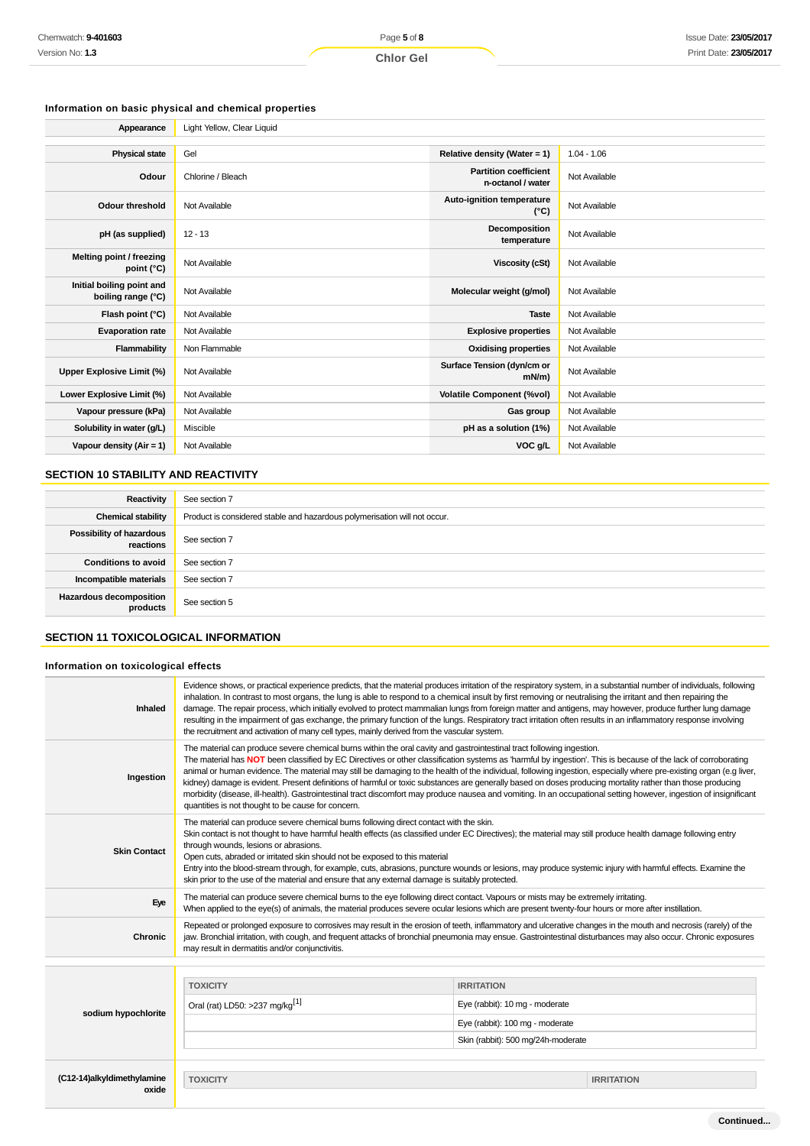# **Information on basic physical and chemical properties**

| Appearance                                      | Light Yellow, Clear Liguid |                                                   |               |
|-------------------------------------------------|----------------------------|---------------------------------------------------|---------------|
|                                                 |                            |                                                   |               |
| <b>Physical state</b>                           | Gel                        | Relative density (Water = 1)                      | $1.04 - 1.06$ |
| Odour                                           | Chlorine / Bleach          | <b>Partition coefficient</b><br>n-octanol / water | Not Available |
| Odour threshold                                 | Not Available              | Auto-ignition temperature<br>$(^{\circ}C)$        | Not Available |
| pH (as supplied)                                | $12 - 13$                  | Decomposition<br>temperature                      | Not Available |
| Melting point / freezing<br>point (°C)          | Not Available              | Viscosity (cSt)                                   | Not Available |
| Initial boiling point and<br>boiling range (°C) | Not Available              | Molecular weight (g/mol)                          | Not Available |
| Flash point (°C)                                | Not Available              | <b>Taste</b>                                      | Not Available |
| <b>Evaporation rate</b>                         | Not Available              | <b>Explosive properties</b>                       | Not Available |
| Flammability                                    | Non Flammable              | <b>Oxidising properties</b>                       | Not Available |
| Upper Explosive Limit (%)                       | Not Available              | Surface Tension (dyn/cm or<br>$mN/m$ )            | Not Available |
| Lower Explosive Limit (%)                       | Not Available              | <b>Volatile Component (%vol)</b>                  | Not Available |
| Vapour pressure (kPa)                           | Not Available              | Gas group                                         | Not Available |
| Solubility in water (g/L)                       | Miscible                   | pH as a solution (1%)                             | Not Available |
| Vapour density ( $Air = 1$ )                    | Not Available              | VOC g/L                                           | Not Available |

# **SECTION 10 STABILITY AND REACTIVITY**

| Reactivity                                 | See section 7                                                             |
|--------------------------------------------|---------------------------------------------------------------------------|
| <b>Chemical stability</b>                  | Product is considered stable and hazardous polymerisation will not occur. |
| Possibility of hazardous<br>reactions      | See section 7                                                             |
| <b>Conditions to avoid</b>                 | See section 7                                                             |
| Incompatible materials                     | See section 7                                                             |
| <b>Hazardous decomposition</b><br>products | See section 5                                                             |

# **SECTION 11 TOXICOLOGICAL INFORMATION**

# **Information on toxicological effects**

| Inhaled                             | Evidence shows, or practical experience predicts, that the material produces irritation of the respiratory system, in a substantial number of individuals, following<br>inhalation. In contrast to most organs, the lung is able to respond to a chemical insult by first removing or neutralising the irritant and then repairing the<br>damage. The repair process, which initially evolved to protect mammalian lungs from foreign matter and antigens, may however, produce further lung damage<br>resulting in the impairment of gas exchange, the primary function of the lungs. Respiratory tract irritation often results in an inflammatory response involving<br>the recruitment and activation of many cell types, mainly derived from the vascular system.                                                                                 |                                    |                   |  |
|-------------------------------------|--------------------------------------------------------------------------------------------------------------------------------------------------------------------------------------------------------------------------------------------------------------------------------------------------------------------------------------------------------------------------------------------------------------------------------------------------------------------------------------------------------------------------------------------------------------------------------------------------------------------------------------------------------------------------------------------------------------------------------------------------------------------------------------------------------------------------------------------------------|------------------------------------|-------------------|--|
| Ingestion                           | The material can produce severe chemical burns within the oral cavity and gastrointestinal tract following ingestion.<br>The material has NOT been classified by EC Directives or other classification systems as 'harmful by ingestion'. This is because of the lack of corroborating<br>animal or human evidence. The material may still be damaging to the health of the individual, following ingestion, especially where pre-existing organ (e.g liver,<br>kidney) damage is evident. Present definitions of harmful or toxic substances are generally based on doses producing mortality rather than those producing<br>morbidity (disease, ill-health). Gastrointestinal tract discomfort may produce nausea and vomiting. In an occupational setting however, ingestion of insignificant<br>quantities is not thought to be cause for concern. |                                    |                   |  |
| <b>Skin Contact</b>                 | The material can produce severe chemical burns following direct contact with the skin.<br>Skin contact is not thought to have harmful health effects (as classified under EC Directives); the material may still produce health damage following entry<br>through wounds, lesions or abrasions.<br>Open cuts, abraded or irritated skin should not be exposed to this material<br>Entry into the blood-stream through, for example, cuts, abrasions, puncture wounds or lesions, may produce systemic injury with harmful effects. Examine the<br>skin prior to the use of the material and ensure that any external damage is suitably protected.                                                                                                                                                                                                     |                                    |                   |  |
| Eye                                 | The material can produce severe chemical burns to the eye following direct contact. Vapours or mists may be extremely irritating.<br>When applied to the eye(s) of animals, the material produces severe ocular lesions which are present twenty-four hours or more after instillation.                                                                                                                                                                                                                                                                                                                                                                                                                                                                                                                                                                |                                    |                   |  |
| <b>Chronic</b>                      | Repeated or prolonged exposure to corrosives may result in the erosion of teeth, inflammatory and ulcerative changes in the mouth and necrosis (rarely) of the<br>jaw. Bronchial irritation, with cough, and frequent attacks of bronchial pneumonia may ensue. Gastrointestinal disturbances may also occur. Chronic exposures<br>may result in dermatitis and/or conjunctivitis.                                                                                                                                                                                                                                                                                                                                                                                                                                                                     |                                    |                   |  |
|                                     |                                                                                                                                                                                                                                                                                                                                                                                                                                                                                                                                                                                                                                                                                                                                                                                                                                                        |                                    |                   |  |
|                                     | <b>TOXICITY</b>                                                                                                                                                                                                                                                                                                                                                                                                                                                                                                                                                                                                                                                                                                                                                                                                                                        | <b>IRRITATION</b>                  |                   |  |
|                                     | Oral (rat) LD50: >237 mg/kg <sup>[1]</sup>                                                                                                                                                                                                                                                                                                                                                                                                                                                                                                                                                                                                                                                                                                                                                                                                             | Eye (rabbit): 10 mg - moderate     |                   |  |
| sodium hypochlorite                 |                                                                                                                                                                                                                                                                                                                                                                                                                                                                                                                                                                                                                                                                                                                                                                                                                                                        | Eye (rabbit): 100 mg - moderate    |                   |  |
|                                     |                                                                                                                                                                                                                                                                                                                                                                                                                                                                                                                                                                                                                                                                                                                                                                                                                                                        | Skin (rabbit): 500 mg/24h-moderate |                   |  |
|                                     |                                                                                                                                                                                                                                                                                                                                                                                                                                                                                                                                                                                                                                                                                                                                                                                                                                                        |                                    |                   |  |
| (C12-14)alkyldimethylamine<br>oxide | <b>TOXICITY</b>                                                                                                                                                                                                                                                                                                                                                                                                                                                                                                                                                                                                                                                                                                                                                                                                                                        |                                    | <b>IRRITATION</b> |  |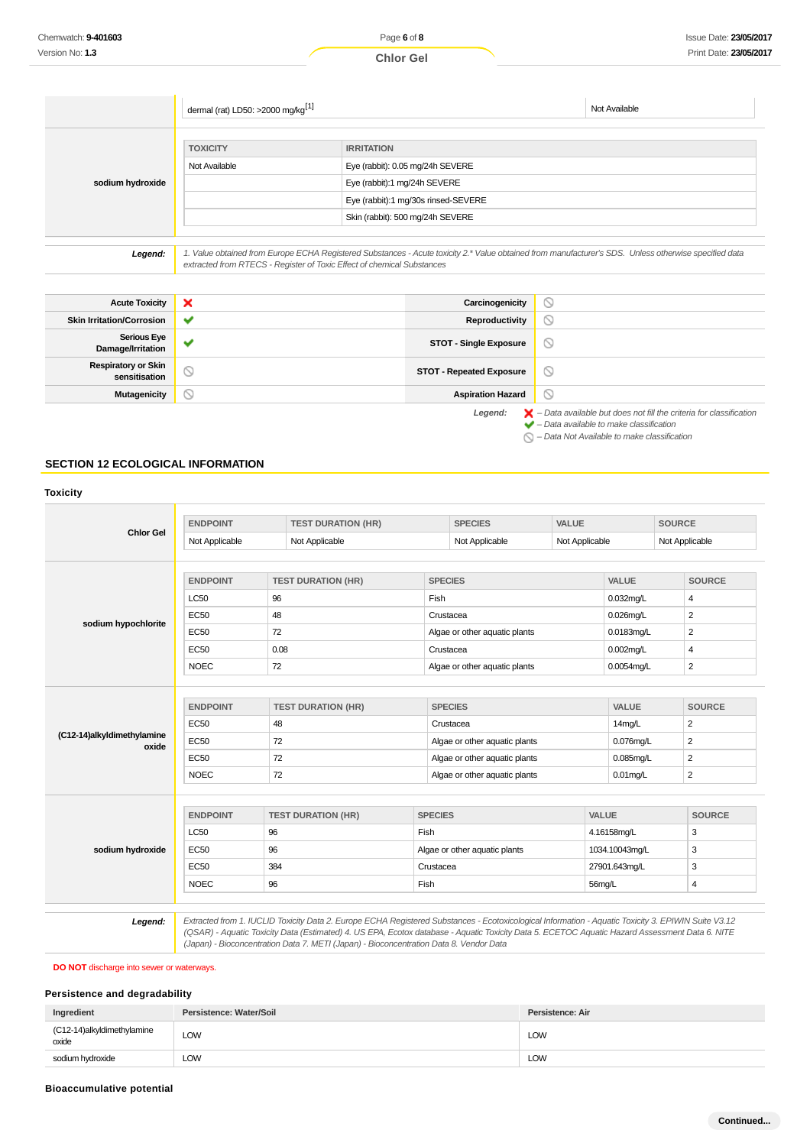|                  | dermal (rat) LD50: >2000 mg/kg <sup>[1]</sup>                          |                                                                                                                                                       | Not Available |
|------------------|------------------------------------------------------------------------|-------------------------------------------------------------------------------------------------------------------------------------------------------|---------------|
|                  | <b>TOXICITY</b><br>Not Available                                       | <b>IRRITATION</b><br>Eye (rabbit): 0.05 mg/24h SEVERE                                                                                                 |               |
| sodium hydroxide |                                                                        | Eye (rabbit):1 mg/24h SEVERE<br>Eye (rabbit):1 mg/30s rinsed-SEVERE                                                                                   |               |
|                  |                                                                        | Skin (rabbit): 500 mg/24h SEVERE                                                                                                                      |               |
| Legend:          |                                                                        | 1. Value obtained from Europe ECHA Registered Substances - Acute toxicity 2.* Value obtained from manufacturer's SDS. Unless otherwise specified data |               |
|                  | extracted from RTECS - Register of Toxic Effect of chemical Substances |                                                                                                                                                       |               |

| <b>Acute Toxicity</b>                       | <b>x</b>              | Carcinogenicity                 | O                                                                                        |
|---------------------------------------------|-----------------------|---------------------------------|------------------------------------------------------------------------------------------|
| <b>Skin Irritation/Corrosion</b>            | $\checkmark$          | Reproductivity                  | $\circ$                                                                                  |
| <b>Serious Eye</b><br>Damage/Irritation     | $\tilde{\phantom{a}}$ | <b>STOT - Single Exposure</b>   | $\circ$                                                                                  |
| <b>Respiratory or Skin</b><br>sensitisation | $\circledcirc$        | <b>STOT - Repeated Exposure</b> | $\circ$                                                                                  |
| <b>Mutagenicity</b>                         | ∾                     | <b>Aspiration Hazard</b>        | $\circ$                                                                                  |
|                                             |                       | Legend:                         | $\blacktriangleright$ - Data available but does not fill the criteria for classification |

 $\blacktriangleright$  – Data available to make classification

 $\bigcirc$  – Data Not Available to make classification

# **SECTION 12 ECOLOGICAL INFORMATION**

| <b>ENDPOINT</b>                                                                                 | <b>TEST DURATION (HR)</b> |                                                   | <b>SPECIES</b>                                                                                               |                                                                                                               |                                                                                | <b>SOURCE</b>                                                                         |
|-------------------------------------------------------------------------------------------------|---------------------------|---------------------------------------------------|--------------------------------------------------------------------------------------------------------------|---------------------------------------------------------------------------------------------------------------|--------------------------------------------------------------------------------|---------------------------------------------------------------------------------------|
| Not Applicable                                                                                  | Not Applicable            |                                                   | Not Applicable                                                                                               |                                                                                                               |                                                                                | Not Applicable                                                                        |
| <b>ENDPOINT</b>                                                                                 | <b>TEST DURATION (HR)</b> |                                                   |                                                                                                              |                                                                                                               | VALUE                                                                          | <b>SOURCE</b>                                                                         |
| <b>LC50</b>                                                                                     | 96                        | Fish                                              |                                                                                                              |                                                                                                               | $0.032$ mg/L                                                                   | $\overline{4}$                                                                        |
| <b>EC50</b>                                                                                     | 48                        |                                                   |                                                                                                              |                                                                                                               | $0.026$ mg/L                                                                   | $\overline{2}$                                                                        |
| <b>EC50</b>                                                                                     | 72                        |                                                   |                                                                                                              |                                                                                                               | 0.0183mg/L                                                                     | $\overline{2}$                                                                        |
| <b>EC50</b>                                                                                     | 0.08                      |                                                   |                                                                                                              |                                                                                                               | $0.002$ mg/L                                                                   | 4                                                                                     |
| <b>NOEC</b>                                                                                     | 72                        |                                                   |                                                                                                              |                                                                                                               | 0.0054mg/L                                                                     | $\overline{2}$                                                                        |
| <b>EC50</b><br>(C12-14)alkyldimethylamine<br><b>EC50</b><br>oxide<br><b>EC50</b><br><b>NOEC</b> |                           |                                                   | Crustacea<br>Algae or other aquatic plants<br>Algae or other aquatic plants<br>Algae or other aquatic plants |                                                                                                               | 14mg/L<br>$0.076$ mg/L<br>$0.085$ mg/L<br>$0.01$ mg/L                          | <b>SOURCE</b><br>$\overline{2}$<br>$\overline{2}$<br>$\overline{2}$<br>$\overline{2}$ |
| <b>ENDPOINT</b>                                                                                 | <b>TEST DURATION (HR)</b> |                                                   |                                                                                                              |                                                                                                               |                                                                                | <b>SOURCE</b>                                                                         |
| <b>LC50</b>                                                                                     | 96                        | Fish                                              |                                                                                                              |                                                                                                               | 4.16158mg/L                                                                    |                                                                                       |
| <b>EC50</b>                                                                                     | 96                        |                                                   |                                                                                                              |                                                                                                               | 1034.10043mg/L                                                                 |                                                                                       |
| <b>EC50</b>                                                                                     | 384                       |                                                   | Crustacea                                                                                                    |                                                                                                               | 27901.643mg/L                                                                  |                                                                                       |
| <b>NOEC</b>                                                                                     | 96                        | Fish                                              |                                                                                                              |                                                                                                               | 56mg/L                                                                         |                                                                                       |
|                                                                                                 | <b>ENDPOINT</b>           | <b>TEST DURATION (HR)</b><br>48<br>72<br>72<br>72 |                                                                                                              | <b>SPECIES</b><br>Crustacea<br>Crustacea<br><b>SPECIES</b><br><b>SPECIES</b><br>Algae or other aquatic plants | <b>VALUE</b><br>Algae or other aquatic plants<br>Algae or other aquatic plants | Not Applicable<br><b>VALUE</b><br>VALUE                                               |

**DO NOT** discharge into sewer or waterways.

# **Persistence and degradability**

| Ingredient                          | Persistence: Water/Soil | Persistence: Air |
|-------------------------------------|-------------------------|------------------|
| (C12-14)alkyldimethylamine<br>oxide | LOW                     | LOW              |
| sodium hydroxide                    | LOW                     | <b>LOW</b>       |

## **Bioaccumulative potential**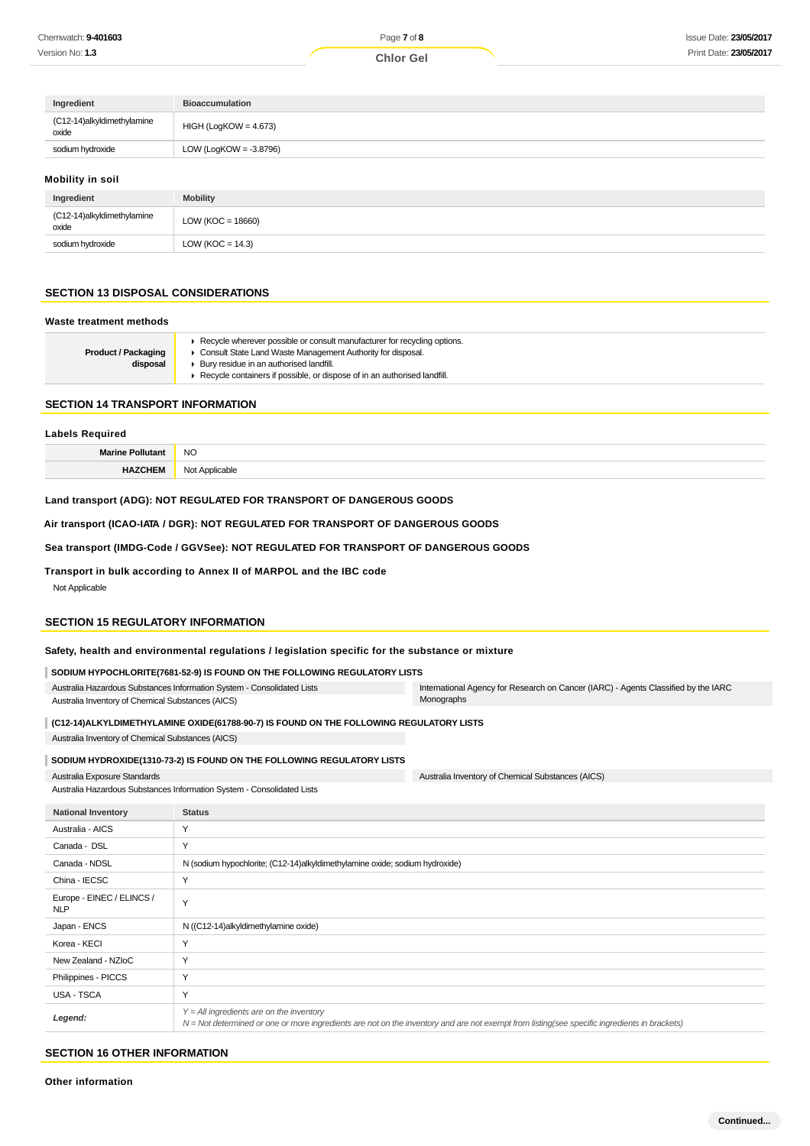| Ingredient                             | <b>Bioaccumulation</b>    |
|----------------------------------------|---------------------------|
| (C12-14)alkyldimethylamine<br>$o$ xide | $HIGH (LogKOW = 4.673)$   |
| sodium hydroxide                       | LOW (LogKOW = $-3.8796$ ) |
| Mobility in soil                       |                           |

| ___                                 |                       |
|-------------------------------------|-----------------------|
| Ingredient                          | <b>Mobility</b>       |
| (C12-14)alkyldimethylamine<br>oxide | LOW ( $KOC = 18660$ ) |
| sodium hydroxide                    | LOW ( $KOC = 14.3$ )  |

# **SECTION 13 DISPOSAL CONSIDERATIONS**

| ► Recycle wherever possible or consult manufacturer for recycling options.<br>Consult State Land Waste Management Authority for disposal.<br><b>Product / Packaging</b><br>disposal<br>▶ Bury residue in an authorised landfill.<br>Recycle containers if possible, or dispose of in an authorised landfill. |  |
|--------------------------------------------------------------------------------------------------------------------------------------------------------------------------------------------------------------------------------------------------------------------------------------------------------------|--|

#### **SECTION 14 TRANSPORT INFORMATION**

# **Labels Required Marine Pollutant** NO **HAZCHEM** Not Applicable

# **Land transport (ADG): NOT REGULATED FOR TRANSPORT OF DANGEROUS GOODS**

**Air transport (ICAO-IATA / DGR): NOT REGULATED FOR TRANSPORT OF DANGEROUS GOODS**

#### **Sea transport (IMDG-Code / GGVSee): NOT REGULATED FOR TRANSPORT OF DANGEROUS GOODS**

**Transport in bulk according to Annex II of MARPOL and the IBC code**

Not Applicable

## **SECTION 15 REGULATORY INFORMATION**

# **Safety, health and environmental regulations / legislation specific for the substance or mixture**

| SODIUM HYPOCHLORITE(7681-52-9) IS FOUND ON THE FOLLOWING REGULATORY LISTS |                                                                                    |
|---------------------------------------------------------------------------|------------------------------------------------------------------------------------|
| Australia Hazardous Substances Information System - Consolidated Lists    | International Agency for Research on Cancer (IARC) - Agents Classified by the IARC |
| Australia Inventory of Chemical Substances (AICS)                         | Monographs                                                                         |

**(C12-14)ALKYLDIMETHYLAMINE OXIDE(61788-90-7) IS FOUND ON THE FOLLOWING REGULATORY LISTS**

Australia Inventory of Chemical Substances (AICS)

#### **SODIUM HYDROXIDE(1310-73-2) IS FOUND ON THE FOLLOWING REGULATORY LISTS**

Australia Exposure Standards

Australia Hazardous Substances Information System - Consolidated Lists

| <b>National Inventory</b>               | <b>Status</b>                                                                                                                                                                              |
|-----------------------------------------|--------------------------------------------------------------------------------------------------------------------------------------------------------------------------------------------|
| Australia - AICS                        | Υ                                                                                                                                                                                          |
| Canada - DSL                            | Y                                                                                                                                                                                          |
| Canada - NDSL                           | N (sodium hypochlorite; (C12-14)alkyldimethylamine oxide; sodium hydroxide)                                                                                                                |
| China - IECSC                           | Y                                                                                                                                                                                          |
| Europe - EINEC / ELINCS /<br><b>NLP</b> | Y                                                                                                                                                                                          |
| Japan - ENCS                            | N ((C12-14)alkyldimethylamine oxide)                                                                                                                                                       |
| Korea - KECI                            | Y                                                                                                                                                                                          |
| New Zealand - NZIoC                     | Y                                                                                                                                                                                          |
| Philippines - PICCS                     | Y                                                                                                                                                                                          |
| USA - TSCA                              | Y                                                                                                                                                                                          |
| Legend:                                 | $Y = All$ ingredients are on the inventory<br>N = Not determined or one or more ingredients are not on the inventory and are not exempt from listing(see specific ingredients in brackets) |

Australia Inventory of Chemical Substances (AICS)

#### **SECTION 16 OTHER INFORMATION**

**Other information**